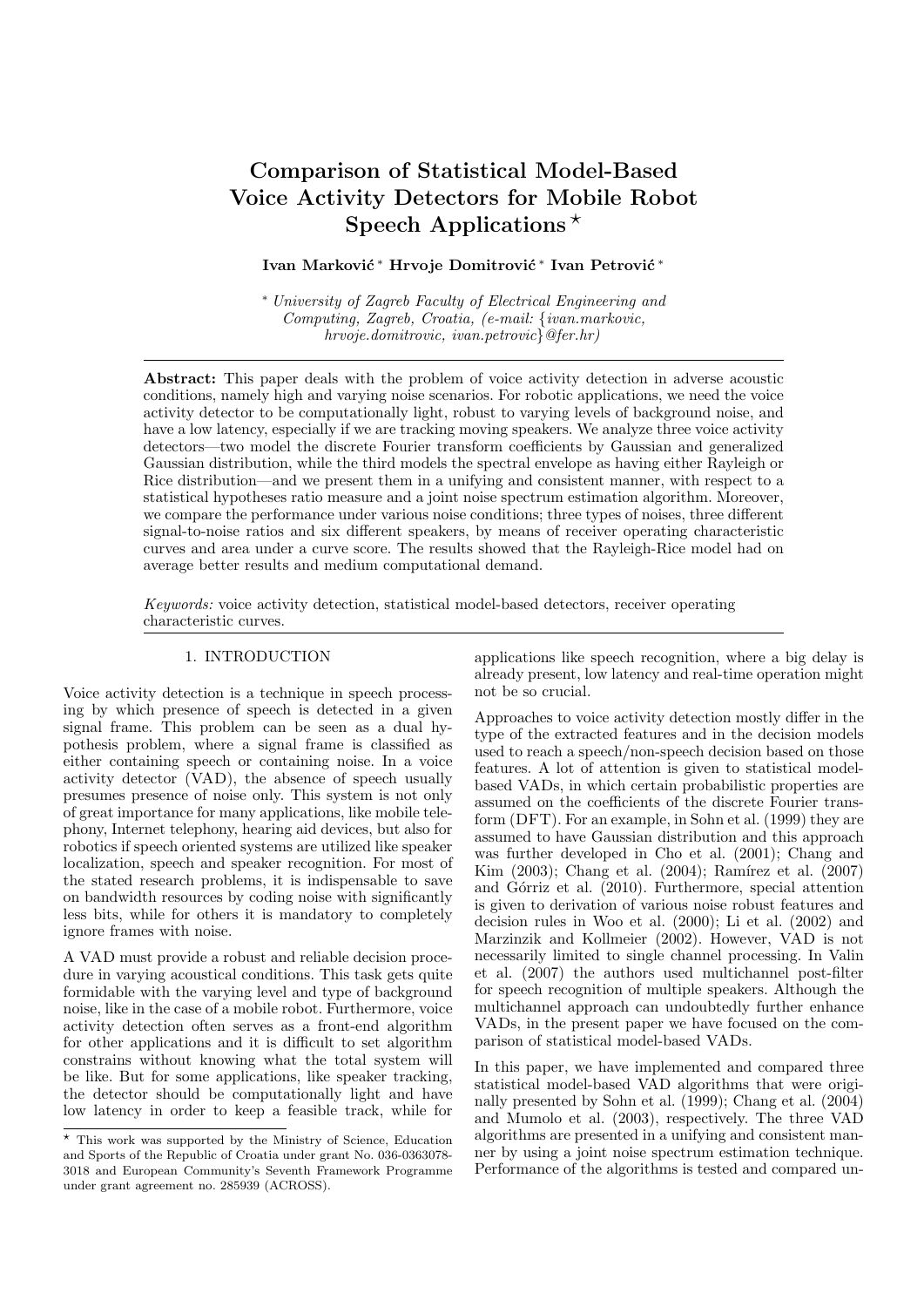# Comparison of Statistical Model-Based Voice Activity Detectors for Mobile Robot Speech Applications<sup>\*</sup>

# Ivan Marković \* Hrvoje Domitrović \* Ivan Petrović \*

<sup>∗</sup> University of Zagreb Faculty of Electrical Engineering and Computing, Zagreb, Croatia, (e-mail: {ivan.markovic, hrvoje.domitrovic, ivan.petrovic}@fer.hr)

Abstract: This paper deals with the problem of voice activity detection in adverse acoustic conditions, namely high and varying noise scenarios. For robotic applications, we need the voice activity detector to be computationally light, robust to varying levels of background noise, and have a low latency, especially if we are tracking moving speakers. We analyze three voice activity detectors—two model the discrete Fourier transform coefficients by Gaussian and generalized Gaussian distribution, while the third models the spectral envelope as having either Rayleigh or Rice distribution—and we present them in a unifying and consistent manner, with respect to a statistical hypotheses ratio measure and a joint noise spectrum estimation algorithm. Moreover, we compare the performance under various noise conditions; three types of noises, three different signal-to-noise ratios and six different speakers, by means of receiver operating characteristic curves and area under a curve score. The results showed that the Rayleigh-Rice model had on average better results and medium computational demand.

Keywords: voice activity detection, statistical model-based detectors, receiver operating characteristic curves.

# 1. INTRODUCTION

Voice activity detection is a technique in speech processing by which presence of speech is detected in a given signal frame. This problem can be seen as a dual hypothesis problem, where a signal frame is classified as either containing speech or containing noise. In a voice activity detector (VAD), the absence of speech usually presumes presence of noise only. This system is not only of great importance for many applications, like mobile telephony, Internet telephony, hearing aid devices, but also for robotics if speech oriented systems are utilized like speaker localization, speech and speaker recognition. For most of the stated research problems, it is indispensable to save on bandwidth resources by coding noise with significantly less bits, while for others it is mandatory to completely ignore frames with noise.

A VAD must provide a robust and reliable decision procedure in varying acoustical conditions. This task gets quite formidable with the varying level and type of background noise, like in the case of a mobile robot. Furthermore, voice activity detection often serves as a front-end algorithm for other applications and it is difficult to set algorithm constrains without knowing what the total system will be like. But for some applications, like speaker tracking, the detector should be computationally light and have low latency in order to keep a feasible track, while for

applications like speech recognition, where a big delay is already present, low latency and real-time operation might not be so crucial.

Approaches to voice activity detection mostly differ in the type of the extracted features and in the decision models used to reach a speech/non-speech decision based on those features. A lot of attention is given to statistical modelbased VADs, in which certain probabilistic properties are assumed on the coefficients of the discrete Fourier transform (DFT). For an example, in Sohn et al. (1999) they are assumed to have Gaussian distribution and this approach was further developed in Cho et al. (2001); Chang and Kim (2003); Chang et al. (2004); Ramírez et al. (2007) and Górriz et al. (2010). Furthermore, special attention is given to derivation of various noise robust features and decision rules in Woo et al. (2000); Li et al. (2002) and Marzinzik and Kollmeier (2002). However, VAD is not necessarily limited to single channel processing. In Valin et al. (2007) the authors used multichannel post-filter for speech recognition of multiple speakers. Although the multichannel approach can undoubtedly further enhance VADs, in the present paper we have focused on the comparison of statistical model-based VADs.

In this paper, we have implemented and compared three statistical model-based VAD algorithms that were originally presented by Sohn et al. (1999); Chang et al. (2004) and Mumolo et al. (2003), respectively. The three VAD algorithms are presented in a unifying and consistent manner by using a joint noise spectrum estimation technique. Performance of the algorithms is tested and compared un-

<sup>?</sup> This work was supported by the Ministry of Science, Education and Sports of the Republic of Croatia under grant No. 036-0363078- 3018 and European Community's Seventh Framework Programme under grant agreement no. 285939 (ACROSS).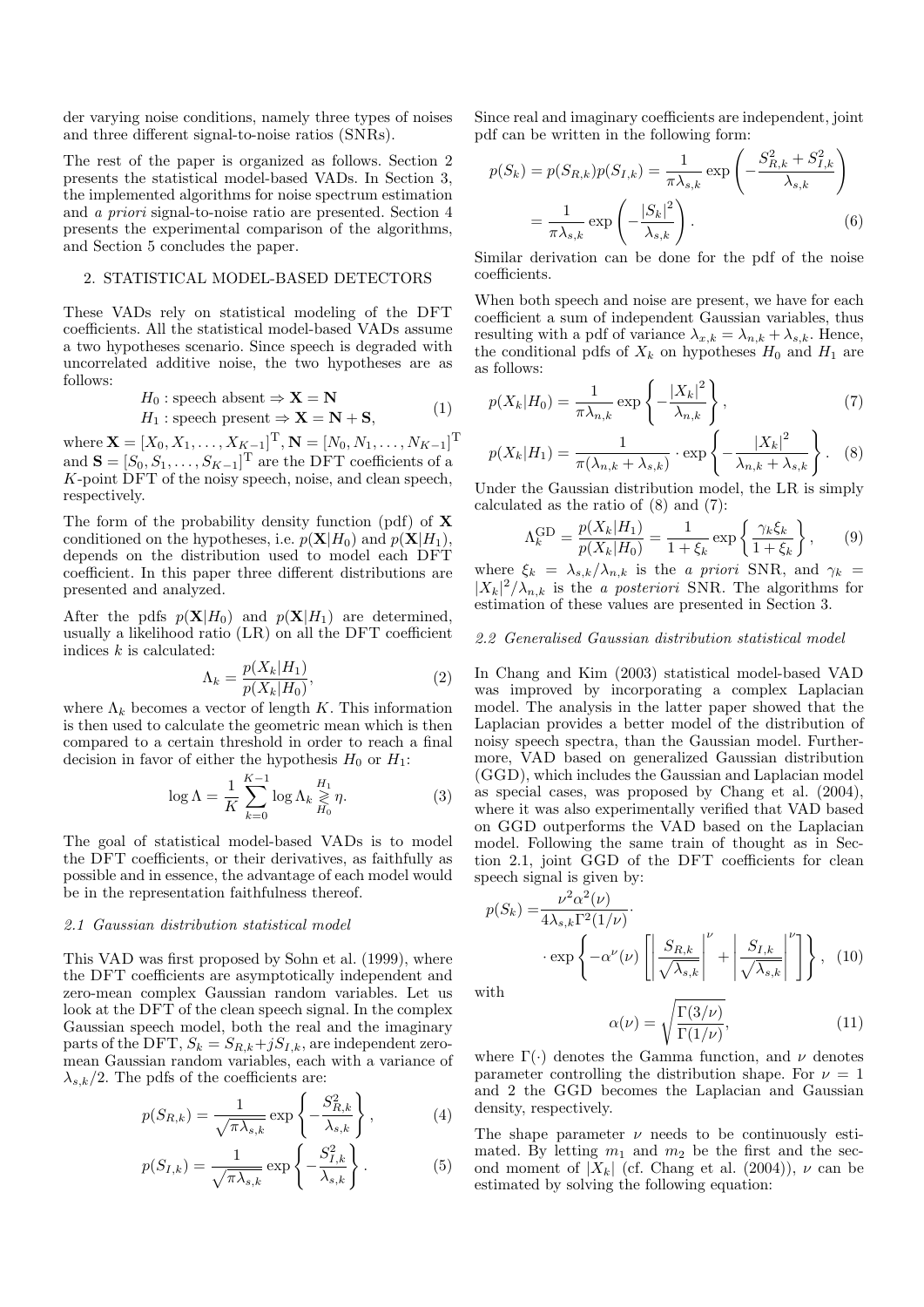der varying noise conditions, namely three types of noises and three different signal-to-noise ratios (SNRs).

The rest of the paper is organized as follows. Section 2 presents the statistical model-based VADs. In Section 3, the implemented algorithms for noise spectrum estimation and a priori signal-to-noise ratio are presented. Section 4 presents the experimental comparison of the algorithms, and Section 5 concludes the paper.

#### 2. STATISTICAL MODEL-BASED DETECTORS

These VADs rely on statistical modeling of the DFT coefficients. All the statistical model-based VADs assume a two hypotheses scenario. Since speech is degraded with uncorrelated additive noise, the two hypotheses are as follows:

$$
H_0: \text{ speech absent} \Rightarrow \mathbf{X} = \mathbf{N}
$$
  

$$
H_1: \text{ speech present} \Rightarrow \mathbf{X} = \mathbf{N} + \mathbf{S},
$$
 (1)

where  $\mathbf{X} = [X_0, X_1, \dots, X_{K-1}]^{\mathrm{T}}, \mathbf{N} = [N_0, N_1, \dots, N_{K-1}]^{\mathrm{T}}$ and  $\mathbf{S} = [S_0, S_1, \dots, S_{K-1}]^T$  are the DFT coefficients of a K-point DFT of the noisy speech, noise, and clean speech, respectively.

The form of the probability density function (pdf) of X conditioned on the hypotheses, i.e.  $p(\mathbf{X}|H_0)$  and  $p(\mathbf{X}|H_1)$ . depends on the distribution used to model each DFT coefficient. In this paper three different distributions are presented and analyzed.

After the pdfs  $p(X|H_0)$  and  $p(X|H_1)$  are determined, usually a likelihood ratio (LR) on all the DFT coefficient indices  $k$  is calculated:

$$
\Lambda_k = \frac{p(X_k|H_1)}{p(X_k|H_0)},\tag{2}
$$

where  $\Lambda_k$  becomes a vector of length K. This information is then used to calculate the geometric mean which is then compared to a certain threshold in order to reach a final decision in favor of either the hypothesis  $H_0$  or  $H_1$ :

$$
\log \Lambda = \frac{1}{K} \sum_{k=0}^{K-1} \log \Lambda_k \underset{H_0}{\geq} \eta. \tag{3}
$$

The goal of statistical model-based VADs is to model the DFT coefficients, or their derivatives, as faithfully as possible and in essence, the advantage of each model would be in the representation faithfulness thereof.

## 2.1 Gaussian distribution statistical model

This VAD was first proposed by Sohn et al. (1999), where the DFT coefficients are asymptotically independent and zero-mean complex Gaussian random variables. Let us look at the DFT of the clean speech signal. In the complex Gaussian speech model, both the real and the imaginary parts of the DFT,  $S_k = S_{R,k} + jS_{I,k}$ , are independent zeromean Gaussian random variables, each with a variance of  $\lambda_{s,k}/2$ . The pdfs of the coefficients are:

$$
p(S_{R,k}) = \frac{1}{\sqrt{\pi \lambda_{s,k}}} \exp\left\{-\frac{S_{R,k}^2}{\lambda_{s,k}}\right\},\tag{4}
$$

$$
p(S_{I,k}) = \frac{1}{\sqrt{\pi \lambda_{s,k}}} \exp\left\{-\frac{S_{I,k}^2}{\lambda_{s,k}}\right\}.
$$
 (5)

Since real and imaginary coefficients are independent, joint pdf can be written in the following form:

$$
p(S_k) = p(S_{R,k})p(S_{I,k}) = \frac{1}{\pi \lambda_{s,k}} \exp\left(-\frac{S_{R,k}^2 + S_{I,k}^2}{\lambda_{s,k}}\right)
$$

$$
= \frac{1}{\pi \lambda_{s,k}} \exp\left(-\frac{|S_k|^2}{\lambda_{s,k}}\right).
$$
(6)

Similar derivation can be done for the pdf of the noise coefficients.

When both speech and noise are present, we have for each coefficient a sum of independent Gaussian variables, thus resulting with a pdf of variance  $\lambda_{x,k} = \lambda_{n,k} + \lambda_{s,k}$ . Hence, the conditional pdfs of  $X_k$  on hypotheses  $H_0$  and  $H_1$  are as follows:

$$
p(X_k|H_0) = \frac{1}{\pi \lambda_{n,k}} \exp\left\{-\frac{|X_k|^2}{\lambda_{n,k}}\right\},\tag{7}
$$

$$
p(X_k|H_1) = \frac{1}{\pi(\lambda_{n,k} + \lambda_{s,k})} \cdot \exp\left\{-\frac{|X_k|^2}{\lambda_{n,k} + \lambda_{s,k}}\right\}.
$$
 (8)

Under the Gaussian distribution model, the LR is simply calculated as the ratio of (8) and (7):

$$
\Lambda_k^{\text{GD}} = \frac{p(X_k|H_1)}{p(X_k|H_0)} = \frac{1}{1+\xi_k} \exp\left\{\frac{\gamma_k \xi_k}{1+\xi_k}\right\},\qquad(9)
$$

where  $\xi_k = \lambda_{s,k}/\lambda_{n,k}$  is the a priori SNR, and  $\gamma_k =$  $|X_k|^2/\lambda_{n,k}$  is the *a posteriori* SNR. The algorithms for estimation of these values are presented in Section 3.

# 2.2 Generalised Gaussian distribution statistical model

In Chang and Kim (2003) statistical model-based VAD was improved by incorporating a complex Laplacian model. The analysis in the latter paper showed that the Laplacian provides a better model of the distribution of noisy speech spectra, than the Gaussian model. Furthermore, VAD based on generalized Gaussian distribution (GGD), which includes the Gaussian and Laplacian model as special cases, was proposed by Chang et al. (2004), where it was also experimentally verified that VAD based on GGD outperforms the VAD based on the Laplacian model. Following the same train of thought as in Section 2.1, joint GGD of the DFT coefficients for clean speech signal is given by:

$$
p(S_k) = \frac{\nu^2 \alpha^2(\nu)}{4\lambda_{s,k} \Gamma^2(1/\nu)} \cdot \exp\left\{-\alpha^{\nu}(\nu) \left[\left|\frac{S_{R,k}}{\sqrt{\lambda_{s,k}}} \right|^{\nu} + \left|\frac{S_{I,k}}{\sqrt{\lambda_{s,k}}} \right|^{\nu}\right] \right\}, \tag{10}
$$

with

$$
\alpha(\nu) = \sqrt{\frac{\Gamma(3/\nu)}{\Gamma(1/\nu)}},\tag{11}
$$

where  $\Gamma(\cdot)$  denotes the Gamma function, and  $\nu$  denotes parameter controlling the distribution shape. For  $\nu = 1$ and 2 the GGD becomes the Laplacian and Gaussian density, respectively.

The shape parameter  $\nu$  needs to be continuously estimated. By letting  $m_1$  and  $m_2$  be the first and the second moment of  $|X_k|$  (cf. Chang et al. (2004)),  $\nu$  can be estimated by solving the following equation: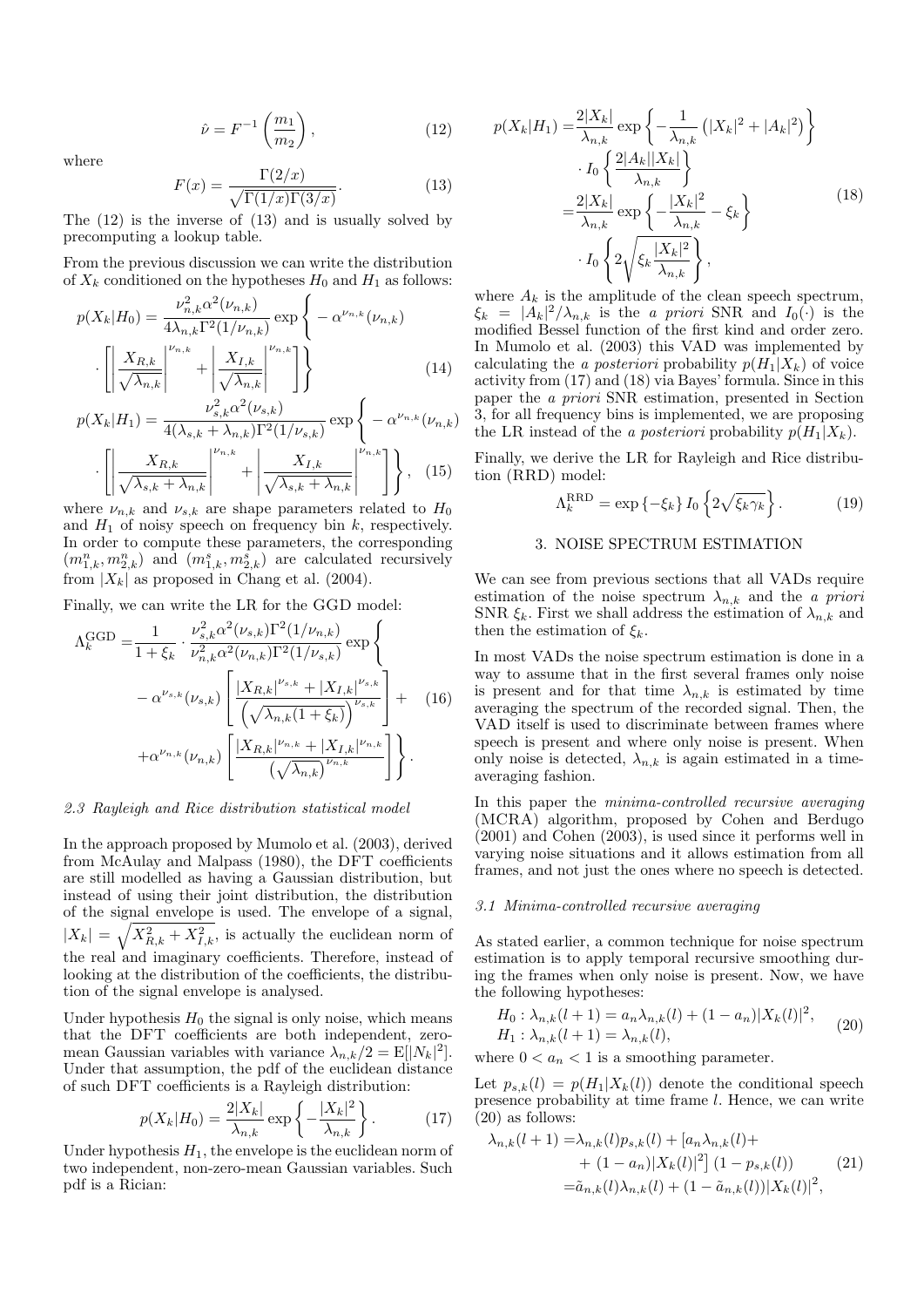$$
\hat{\nu} = F^{-1}\left(\frac{m_1}{m_2}\right),\tag{12}
$$

where

·

$$
F(x) = \frac{\Gamma(2/x)}{\sqrt{\Gamma(1/x)\Gamma(3/x)}}.
$$
\n(13)

The (12) is the inverse of (13) and is usually solved by precomputing a lookup table.

From the previous discussion we can write the distribution of  $X_k$  conditioned on the hypotheses  $H_0$  and  $H_1$  as follows:

$$
p(X_k|H_0) = \frac{\nu_{n,k}^2 \alpha^2(\nu_{n,k})}{4\lambda_{n,k} \Gamma^2(1/\nu_{n,k})} \exp\left\{-\alpha^{\nu_{n,k}}(\nu_{n,k})\right\}
$$

$$
\cdot \left[\left|\frac{X_{R,k}}{\sqrt{\lambda_{n,k}}}\right|^{\nu_{n,k}} + \left|\frac{X_{I,k}}{\sqrt{\lambda_{n,k}}}\right|^{\nu_{n,k}}\right]\right\}
$$
(14)

$$
p(X_k|H_1) = \frac{\nu_{s,k}^2 \alpha^2(\nu_{s,k})}{4(\lambda_{s,k} + \lambda_{n,k})\Gamma^2(1/\nu_{s,k})} \exp\left\{-\alpha^{\nu_{n,k}}(\nu_{n,k})\right\}
$$
  
\n
$$
\prod_{k=1}^N \frac{\nu_{n,k}}{\lambda_{k,k}} \left\{\n\begin{array}{c}\n\lambda_{k,k} & \lambda_{k,k} \\
\lambda_{k,k} & \lambda_{k,k}\n\end{array}\n\right\}.
$$

$$
\left[ \left| \frac{X_{R,k}}{\sqrt{\lambda_{s,k} + \lambda_{n,k}}} \right|^{ \nu_{n,k}} + \left| \frac{X_{I,k}}{\sqrt{\lambda_{s,k} + \lambda_{n,k}}} \right|^{ \nu_{n,k}} \right] \right\}, \quad (15)
$$

where  $\nu_{n,k}$  and  $\nu_{s,k}$  are shape parameters related to  $H_0$ and  $H_1$  of noisy speech on frequency bin k, respectively. In order to compute these parameters, the corresponding  $(m_{1,k}^n, m_{2,k}^n)$  and  $(m_{1,k}^s, m_{2,k}^s)$  are calculated recursively from  $|X_k|$  as proposed in Chang et al. (2004).

Finally, we can write the LR for the GGD model:

$$
\Lambda_k^{\text{GGD}} = \frac{1}{1 + \xi_k} \cdot \frac{\nu_{s,k}^2 \alpha^2(\nu_{s,k}) \Gamma^2(1/\nu_{n,k})}{\nu_{n,k}^2 \alpha^2(\nu_{n,k}) \Gamma^2(1/\nu_{s,k})} \exp \left\{ -\alpha^{\nu_{s,k}}(\nu_{s,k}) \left[ \frac{|X_{R,k}|^{\nu_{s,k}} + |X_{I,k}|^{\nu_{s,k}}}{\left(\sqrt{\lambda_{n,k}(1 + \xi_k)}\right)^{\nu_{s,k}}}\right] + \right. (16)
$$

$$
+ \alpha^{\nu_{n,k}}(\nu_{n,k}) \left[ \frac{|X_{R,k}|^{\nu_{n,k}} + |X_{I,k}|^{\nu_{n,k}}}{\left(\sqrt{\lambda_{n,k}}\right)^{\nu_{n,k}}}\right] \right\}.
$$

#### 2.3 Rayleigh and Rice distribution statistical model

In the approach proposed by Mumolo et al. (2003), derived from McAulay and Malpass (1980), the DFT coefficients are still modelled as having a Gaussian distribution, but instead of using their joint distribution, the distribution of the signal envelope is used. The envelope of a signal,  $|X_k| = \sqrt{X_{R,k}^2 + X_{I,k}^2}$ , is actually the euclidean norm of the real and imaginary coefficients. Therefore, instead of looking at the distribution of the coefficients, the distribution of the signal envelope is analysed.

Under hypothesis  $H_0$  the signal is only noise, which means that the DFT coefficients are both independent, zeromean Gaussian variables with variance  $\lambda_{n,k}/2 = \mathbb{E}[|N_k|^2].$ Under that assumption, the pdf of the euclidean distance of such DFT coefficients is a Rayleigh distribution:

$$
p(X_k|H_0) = \frac{2|X_k|}{\lambda_{n,k}} \exp\left\{-\frac{|X_k|^2}{\lambda_{n,k}}\right\}.
$$
 (17)

Under hypothesis  $H_1$ , the envelope is the euclidean norm of two independent, non-zero-mean Gaussian variables. Such pdf is a Rician:

$$
p(X_k|H_1) = \frac{2|X_k|}{\lambda_{n,k}} \exp\left\{-\frac{1}{\lambda_{n,k}}\left(|X_k|^2 + |A_k|^2\right)\right\}
$$

$$
\cdot I_0 \left\{\frac{2|A_k||X_k|}{\lambda_{n,k}}\right\}
$$

$$
= \frac{2|X_k|}{\lambda_{n,k}} \exp\left\{-\frac{|X_k|^2}{\lambda_{n,k}} - \xi_k\right\}
$$
(18)
$$
\cdot I_0 \left\{2\sqrt{\xi_k \frac{|X_k|^2}{\lambda_{n,k}}}\right\},
$$

where  $A_k$  is the amplitude of the clean speech spectrum,  $\xi_k = |A_k|^2 / \lambda_{n,k}$  is the a priori SNR and  $I_0(\cdot)$  is the modified Bessel function of the first kind and order zero. In Mumolo et al. (2003) this VAD was implemented by calculating the a posteriori probability  $p(H_1|X_k)$  of voice activity from (17) and (18) via Bayes' formula. Since in this paper the a priori SNR estimation, presented in Section 3, for all frequency bins is implemented, we are proposing the LR instead of the a posteriori probability  $p(H_1|X_k)$ .

Finally, we derive the LR for Rayleigh and Rice distribution (RRD) model:

$$
\Lambda_k^{\text{RRD}} = \exp\left\{-\xi_k\right\} I_0 \left\{2\sqrt{\xi_k \gamma_k}\right\}.
$$
 (19)

# 3. NOISE SPECTRUM ESTIMATION

We can see from previous sections that all VADs require estimation of the noise spectrum  $\lambda_{n,k}$  and the *a priori* SNR  $\xi_k$ . First we shall address the estimation of  $\lambda_{n,k}$  and then the estimation of  $\xi_k$ .

In most VADs the noise spectrum estimation is done in a way to assume that in the first several frames only noise is present and for that time  $\lambda_{n,k}$  is estimated by time averaging the spectrum of the recorded signal. Then, the VAD itself is used to discriminate between frames where speech is present and where only noise is present. When only noise is detected,  $\lambda_{n,k}$  is again estimated in a timeaveraging fashion.

In this paper the minima-controlled recursive averaging (MCRA) algorithm, proposed by Cohen and Berdugo (2001) and Cohen (2003), is used since it performs well in varying noise situations and it allows estimation from all frames, and not just the ones where no speech is detected.

## 3.1 Minima-controlled recursive averaging

As stated earlier, a common technique for noise spectrum estimation is to apply temporal recursive smoothing during the frames when only noise is present. Now, we have the following hypotheses:

$$
H_0: \lambda_{n,k}(l+1) = a_n \lambda_{n,k}(l) + (1 - a_n)|X_k(l)|^2,
$$
  
\n
$$
H_1: \lambda_{n,k}(l+1) = \lambda_{n,k}(l),
$$
\n(20)

where  $0 < a_n < 1$  is a smoothing parameter.

Let  $p_{s,k}(l) = p(H_1|X_k(l))$  denote the conditional speech presence probability at time frame l. Hence, we can write (20) as follows:

$$
\lambda_{n,k}(l+1) = \lambda_{n,k}(l)p_{s,k}(l) + [a_n \lambda_{n,k}(l) + (1 - a_n)|X_k(l)|^2] (1 - p_{s,k}(l))
$$
\n
$$
= \tilde{a}_{n,k}(l)\lambda_{n,k}(l) + (1 - \tilde{a}_{n,k}(l))|X_k(l)|^2,
$$
\n(21)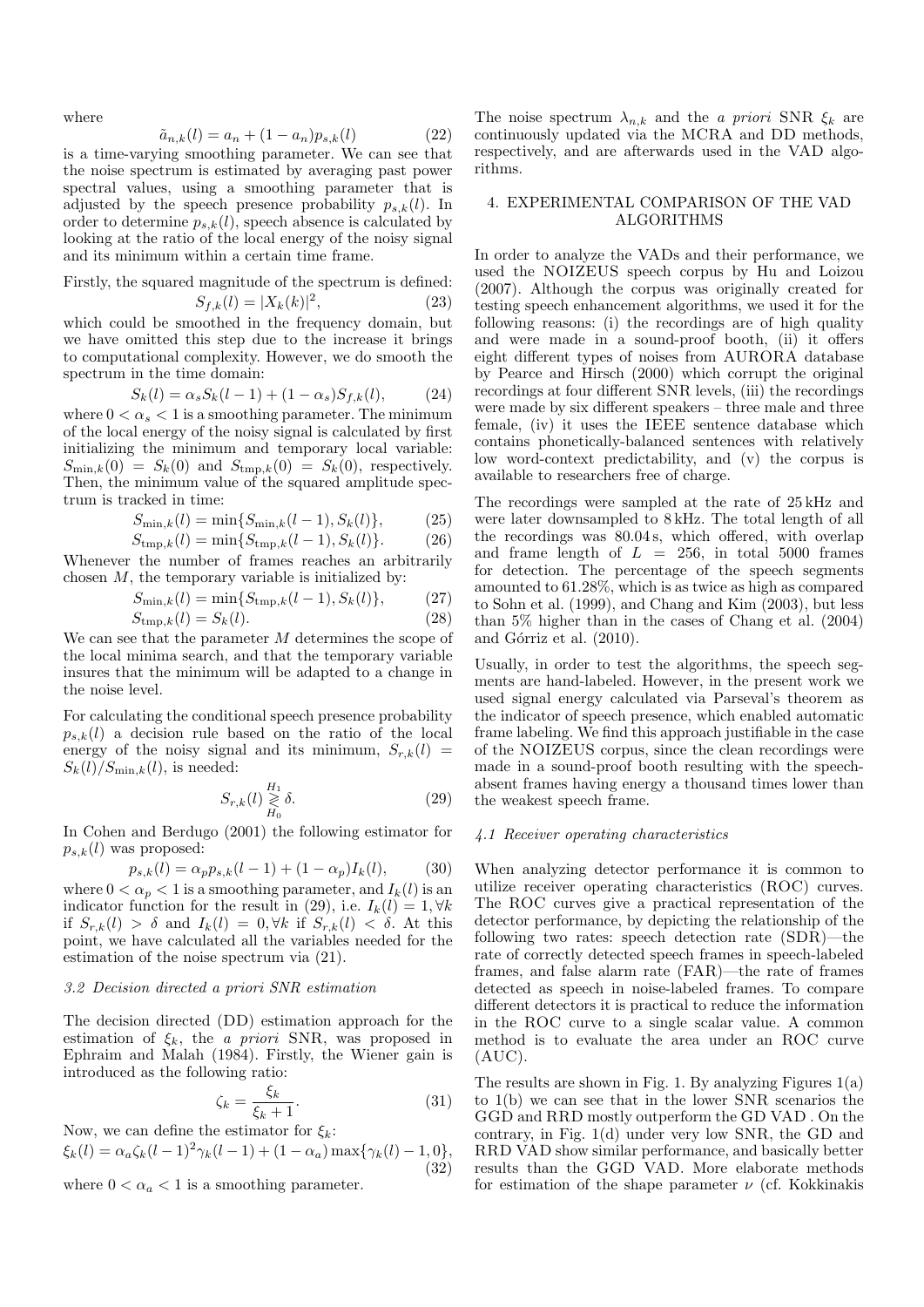where

$$
\tilde{a}_{n,k}(l) = a_n + (1 - a_n) p_{s,k}(l)
$$
\n(22)

is a time-varying smoothing parameter. We can see that the noise spectrum is estimated by averaging past power spectral values, using a smoothing parameter that is adjusted by the speech presence probability  $p_{s,k}(l)$ . In order to determine  $p_{s,k}(l)$ , speech absence is calculated by looking at the ratio of the local energy of the noisy signal and its minimum within a certain time frame.

Firstly, the squared magnitude of the spectrum is defined:

$$
S_{f,k}(l) = |X_k(k)|^2,
$$
\n(23)

which could be smoothed in the frequency domain, but we have omitted this step due to the increase it brings to computational complexity. However, we do smooth the spectrum in the time domain:

$$
S_k(l) = \alpha_s S_k(l-1) + (1 - \alpha_s) S_{f,k}(l), \tag{24}
$$

where  $0 < \alpha_s < 1$  is a smoothing parameter. The minimum of the local energy of the noisy signal is calculated by first initializing the minimum and temporary local variable:  $S_{\min,k}(0) = S_k(0)$  and  $S_{\text{tmp},k}(0) = S_k(0)$ , respectively. Then, the minimum value of the squared amplitude spectrum is tracked in time:

$$
S_{\min,k}(l) = \min\{S_{\min,k}(l-1), S_k(l)\},\tag{25}
$$

$$
S_{\mathrm{tmp},k}(l) = \min\{S_{\mathrm{tmp},k}(l-1), S_k(l)\}.
$$
 (26)

Whenever the number of frames reaches an arbitrarily chosen  $M$ , the temporary variable is initialized by:

$$
S_{\min,k}(l) = \min\{S_{\text{tmp},k}(l-1), S_k(l)\},\tag{27}
$$

$$
S_{\mathrm{tmp},k}(l) = S_k(l). \tag{28}
$$

We can see that the parameter M determines the scope of the local minima search, and that the temporary variable insures that the minimum will be adapted to a change in the noise level.

For calculating the conditional speech presence probability  $p_{s,k}(l)$  a decision rule based on the ratio of the local energy of the noisy signal and its minimum,  $S_{r,k}(l)$  =  $S_k(l)/S_{\text{min},k}(l)$ , is needed:

$$
S_{r,k}(l) \underset{H_0}{\geqslant} \delta. \tag{29}
$$

In Cohen and Berdugo (2001) the following estimator for  $p_{s,k}(l)$  was proposed:

$$
p_{s,k}(l) = \alpha_p p_{s,k}(l-1) + (1 - \alpha_p)I_k(l), \tag{30}
$$

where  $0 < \alpha_p < 1$  is a smoothing parameter, and  $I_k(l)$  is an indicator function for the result in (29), i.e.  $I_k(l) = 1, \forall k$ if  $S_{r,k}(l) > \delta$  and  $I_k(l) = 0, \forall k$  if  $S_{r,k}(l) < \delta$ . At this point, we have calculated all the variables needed for the estimation of the noise spectrum via (21).

#### 3.2 Decision directed a priori SNR estimation

The decision directed (DD) estimation approach for the estimation of  $\xi_k$ , the *a priori* SNR, was proposed in Ephraim and Malah (1984). Firstly, the Wiener gain is introduced as the following ratio:

$$
\zeta_k = \frac{\xi_k}{\xi_k + 1}.\tag{31}
$$

Now, we can define the estimator for  $\xi_k$ :  $\xi_k(l) = \alpha_a \zeta_k(l-1)^2 \gamma_k(l-1) + (1-\alpha_a) \max{\gamma_k(l) - 1, 0},$ (32)

where  $0 < \alpha_a < 1$  is a smoothing parameter.

The noise spectrum  $\lambda_{n,k}$  and the *a priori* SNR  $\xi_k$  are continuously updated via the MCRA and DD methods, respectively, and are afterwards used in the VAD algorithms.

### 4. EXPERIMENTAL COMPARISON OF THE VAD ALGORITHMS

In order to analyze the VADs and their performance, we used the NOIZEUS speech corpus by Hu and Loizou (2007). Although the corpus was originally created for testing speech enhancement algorithms, we used it for the following reasons: (i) the recordings are of high quality and were made in a sound-proof booth, (ii) it offers eight different types of noises from AURORA database by Pearce and Hirsch (2000) which corrupt the original recordings at four different SNR levels, (iii) the recordings were made by six different speakers – three male and three female, (iv) it uses the IEEE sentence database which contains phonetically-balanced sentences with relatively low word-context predictability, and (v) the corpus is available to researchers free of charge.

The recordings were sampled at the rate of 25 kHz and were later downsampled to 8 kHz. The total length of all the recordings was 80.04 s, which offered, with overlap and frame length of  $L = 256$ , in total 5000 frames for detection. The percentage of the speech segments amounted to 61.28%, which is as twice as high as compared to Sohn et al. (1999), and Chang and Kim (2003), but less than 5% higher than in the cases of Chang et al. (2004) and Górriz et al. (2010).

Usually, in order to test the algorithms, the speech segments are hand-labeled. However, in the present work we used signal energy calculated via Parseval's theorem as the indicator of speech presence, which enabled automatic frame labeling. We find this approach justifiable in the case of the NOIZEUS corpus, since the clean recordings were made in a sound-proof booth resulting with the speechabsent frames having energy a thousand times lower than the weakest speech frame.

#### 4.1 Receiver operating characteristics

When analyzing detector performance it is common to utilize receiver operating characteristics (ROC) curves. The ROC curves give a practical representation of the detector performance, by depicting the relationship of the following two rates: speech detection rate (SDR)—the rate of correctly detected speech frames in speech-labeled frames, and false alarm rate (FAR)—the rate of frames detected as speech in noise-labeled frames. To compare different detectors it is practical to reduce the information in the ROC curve to a single scalar value. A common method is to evaluate the area under an ROC curve  $(AUC).$ 

The results are shown in Fig. 1. By analyzing Figures 1(a) to 1(b) we can see that in the lower SNR scenarios the GGD and RRD mostly outperform the GD VAD . On the contrary, in Fig. 1(d) under very low SNR, the GD and RRD VAD show similar performance, and basically better results than the GGD VAD. More elaborate methods for estimation of the shape parameter  $\nu$  (cf. Kokkinakis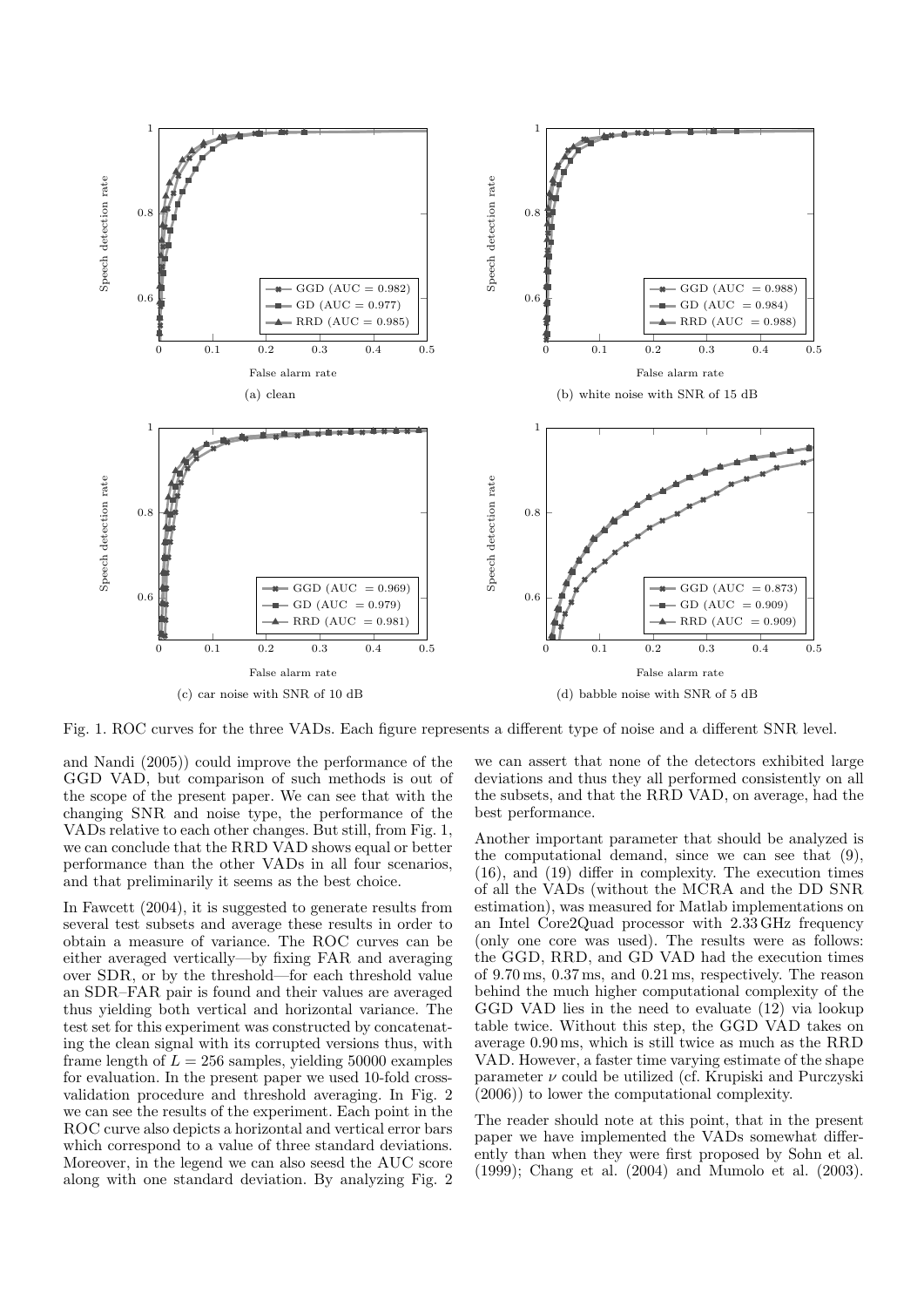

Fig. 1. ROC curves for the three VADs. Each figure represents a different type of noise and a different SNR level.

and Nandi (2005)) could improve the performance of the GGD VAD, but comparison of such methods is out of the scope of the present paper. We can see that with the changing SNR and noise type, the performance of the VADs relative to each other changes. But still, from Fig. 1, we can conclude that the RRD VAD shows equal or better performance than the other VADs in all four scenarios, and that preliminarily it seems as the best choice.

In Fawcett (2004), it is suggested to generate results from several test subsets and average these results in order to obtain a measure of variance. The ROC curves can be either averaged vertically—by fixing FAR and averaging over SDR, or by the threshold—for each threshold value an SDR–FAR pair is found and their values are averaged thus yielding both vertical and horizontal variance. The test set for this experiment was constructed by concatenating the clean signal with its corrupted versions thus, with frame length of  $L = 256$  samples, yielding 50000 examples for evaluation. In the present paper we used 10-fold crossvalidation procedure and threshold averaging. In Fig. 2 we can see the results of the experiment. Each point in the ROC curve also depicts a horizontal and vertical error bars which correspond to a value of three standard deviations. Moreover, in the legend we can also seesd the AUC score along with one standard deviation. By analyzing Fig. 2

we can assert that none of the detectors exhibited large deviations and thus they all performed consistently on all the subsets, and that the RRD VAD, on average, had the best performance.

Another important parameter that should be analyzed is the computational demand, since we can see that (9), (16), and (19) differ in complexity. The execution times of all the VADs (without the MCRA and the DD SNR estimation), was measured for Matlab implementations on an Intel Core2Quad processor with 2.33 GHz frequency (only one core was used). The results were as follows: the GGD, RRD, and GD VAD had the execution times of 9.70 ms, 0.37 ms, and 0.21 ms, respectively. The reason behind the much higher computational complexity of the GGD VAD lies in the need to evaluate (12) via lookup table twice. Without this step, the GGD VAD takes on average 0.90 ms, which is still twice as much as the RRD VAD. However, a faster time varying estimate of the shape parameter  $\nu$  could be utilized (cf. Krupiski and Purczyski (2006)) to lower the computational complexity.

The reader should note at this point, that in the present paper we have implemented the VADs somewhat differently than when they were first proposed by Sohn et al. (1999); Chang et al. (2004) and Mumolo et al. (2003).